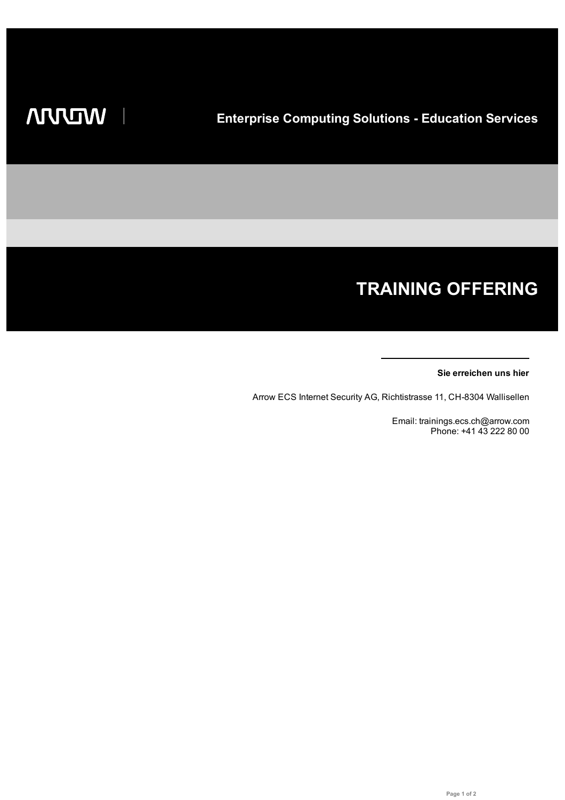# **TRAINING OFFERING**

## **Sie erreichen uns hier**

Arrow ECS Internet Security AG, Richtistrasse 11, CH-8304 Wallisellen

Email: trainings.ecs.ch@arrow.com Phone: +41 43 222 80 00